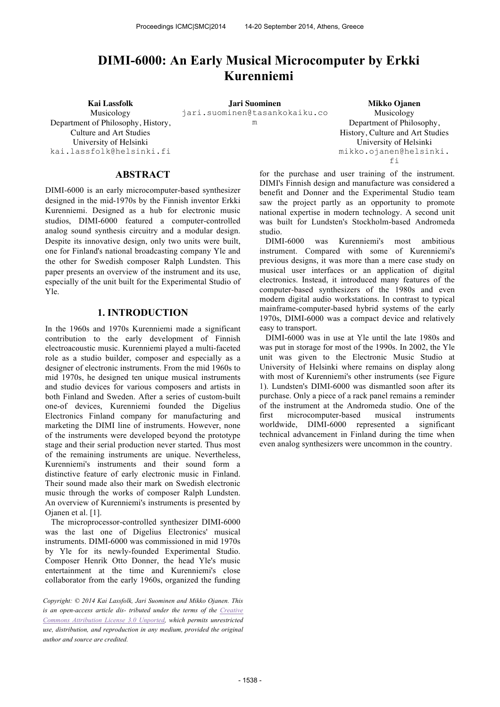# **DIMI-6000: An Early Musical Microcomputer by Erkki Kurenniemi**

jari.suominen@tasankokaiku.co m

Musicology Department of Philosophy, History, Culture and Art Studies University of Helsinki kai.lassfolk@helsinki.fi

#### **ABSTRACT**

DIMI-6000 is an early microcomputer-based synthesizer designed in the mid-1970s by the Finnish inventor Erkki Kurenniemi. Designed as a hub for electronic music studios, DIMI-6000 featured a computer-controlled analog sound synthesis circuitry and a modular design. Despite its innovative design, only two units were built, one for Finland's national broadcasting company Yle and the other for Swedish composer Ralph Lundsten. This paper presents an overview of the instrument and its use, especially of the unit built for the Experimental Studio of Yle.

### **1. INTRODUCTION**

In the 1960s and 1970s Kurenniemi made a significant contribution to the early development of Finnish electroacoustic music. Kurenniemi played a multi-faceted role as a studio builder, composer and especially as a designer of electronic instruments. From the mid 1960s to mid 1970s, he designed ten unique musical instruments and studio devices for various composers and artists in both Finland and Sweden. After a series of custom-built one-of devices, Kurenniemi founded the Digelius Electronics Finland company for manufacturing and marketing the DIMI line of instruments. However, none of the instruments were developed beyond the prototype stage and their serial production never started. Thus most of the remaining instruments are unique. Nevertheless, Kurenniemi's instruments and their sound form a distinctive feature of early electronic music in Finland. Their sound made also their mark on Swedish electronic music through the works of composer Ralph Lundsten. An overview of Kurenniemi's instruments is presented by Ojanen et al. [1].

The microprocessor-controlled synthesizer DIMI-6000 was the last one of Digelius Electronics' musical instruments. DIMI-6000 was commissioned in mid 1970s by Yle for its newly-founded Experimental Studio. Composer Henrik Otto Donner, the head Yle's music entertainment at the time and Kurenniemi's close collaborator from the early 1960s, organized the funding

*Copyright: © 2014 Kai Lassfolk, Jari Suominen and Mikko Ojanen. This is an open-access article dis- tributed under the terms of the Creative Commons Attribution License 3.0 Unported, which permits unrestricted use, distribution, and reproduction in any medium, provided the original author and source are credited.*

**Kai Lassfolk Jari Suominen Mikko Ojanen** Musicology Department of Philosophy, History, Culture and Art Studies University of Helsinki mikko.ojanen@helsinki. fi

> for the purchase and user training of the instrument. DIMI's Finnish design and manufacture was considered a benefit and Donner and the Experimental Studio team saw the project partly as an opportunity to promote national expertise in modern technology. A second unit was built for Lundsten's Stockholm-based Andromeda studio.

> DIMI-6000 was Kurenniemi's most ambitious instrument. Compared with some of Kurenniemi's previous designs, it was more than a mere case study on musical user interfaces or an application of digital electronics. Instead, it introduced many features of the computer-based synthesizers of the 1980s and even modern digital audio workstations. In contrast to typical mainframe-computer-based hybrid systems of the early 1970s, DIMI-6000 was a compact device and relatively easy to transport.

> DIMI-6000 was in use at Yle until the late 1980s and was put in storage for most of the 1990s. In 2002, the Yle unit was given to the Electronic Music Studio at University of Helsinki where remains on display along with most of Kurenniemi's other instruments (see Figure 1). Lundsten's DIMI-6000 was dismantled soon after its purchase. Only a piece of a rack panel remains a reminder of the instrument at the Andromeda studio. One of the first microcomputer-based musical instruments worldwide, DIMI-6000 represented a significant technical advancement in Finland during the time when even analog synthesizers were uncommon in the country.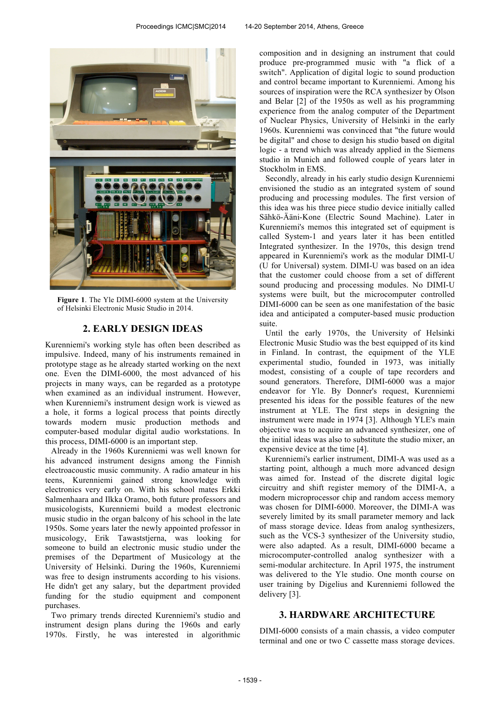

**Figure 1**. The Yle DIMI-6000 system at the University of Helsinki Electronic Music Studio in 2014.

# **2. EARLY DESIGN IDEAS**

Kurenniemi's working style has often been described as impulsive. Indeed, many of his instruments remained in prototype stage as he already started working on the next one. Even the DIMI-6000, the most advanced of his projects in many ways, can be regarded as a prototype when examined as an individual instrument. However, when Kurenniemi's instrument design work is viewed as a hole, it forms a logical process that points directly towards modern music production methods and computer-based modular digital audio workstations. In this process, DIMI-6000 is an important step.

Already in the 1960s Kurenniemi was well known for his advanced instrument designs among the Finnish electroacoustic music community. A radio amateur in his teens, Kurenniemi gained strong knowledge with electronics very early on. With his school mates Erkki Salmenhaara and Ilkka Oramo, both future professors and musicologists, Kurenniemi build a modest electronic music studio in the organ balcony of his school in the late 1950s. Some years later the newly appointed professor in musicology, Erik Tawaststjerna, was looking for someone to build an electronic music studio under the premises of the Department of Musicology at the University of Helsinki. During the 1960s, Kurenniemi was free to design instruments according to his visions. He didn't get any salary, but the department provided funding for the studio equipment and component purchases.

Two primary trends directed Kurenniemi's studio and instrument design plans during the 1960s and early 1970s. Firstly, he was interested in algorithmic composition and in designing an instrument that could produce pre-programmed music with "a flick of a switch". Application of digital logic to sound production and control became important to Kurenniemi. Among his sources of inspiration were the RCA synthesizer by Olson and Belar [2] of the 1950s as well as his programming experience from the analog computer of the Department of Nuclear Physics, University of Helsinki in the early 1960s. Kurenniemi was convinced that "the future would be digital" and chose to design his studio based on digital logic - a trend which was already applied in the Siemens studio in Munich and followed couple of years later in Stockholm in EMS.

Secondly, already in his early studio design Kurenniemi envisioned the studio as an integrated system of sound producing and processing modules. The first version of this idea was his three piece studio device initially called Sähkö-Ääni-Kone (Electric Sound Machine). Later in Kurenniemi's memos this integrated set of equipment is called System-1 and years later it has been entitled Integrated synthesizer. In the 1970s, this design trend appeared in Kurenniemi's work as the modular DIMI-U (U for Universal) system. DIMI-U was based on an idea that the customer could choose from a set of different sound producing and processing modules. No DIMI-U systems were built, but the microcomputer controlled DIMI-6000 can be seen as one manifestation of the basic idea and anticipated a computer-based music production suite.

Until the early 1970s, the University of Helsinki Electronic Music Studio was the best equipped of its kind in Finland. In contrast, the equipment of the YLE experimental studio, founded in 1973, was initially modest, consisting of a couple of tape recorders and sound generators. Therefore, DIMI-6000 was a major endeavor for Yle. By Donner's request, Kurenniemi presented his ideas for the possible features of the new instrument at YLE. The first steps in designing the instrument were made in 1974 [3]. Although YLE's main objective was to acquire an advanced synthesizer, one of the initial ideas was also to substitute the studio mixer, an expensive device at the time [4].

Kurenniemi's earlier instrument, DIMI-A was used as a starting point, although a much more advanced design was aimed for. Instead of the discrete digital logic circuitry and shift register memory of the DIMI-A, a modern microprocessor chip and random access memory was chosen for DIMI-6000. Moreover, the DIMI-A was severely limited by its small parameter memory and lack of mass storage device. Ideas from analog synthesizers, such as the VCS-3 synthesizer of the University studio, were also adapted. As a result, DIMI-6000 became a microcomputer-controlled analog synthesizer with a semi-modular architecture. In April 1975, the instrument was delivered to the Yle studio. One month course on user training by Digelius and Kurenniemi followed the delivery [3].

## **3. HARDWARE ARCHITECTURE**

DIMI-6000 consists of a main chassis, a video computer terminal and one or two C cassette mass storage devices.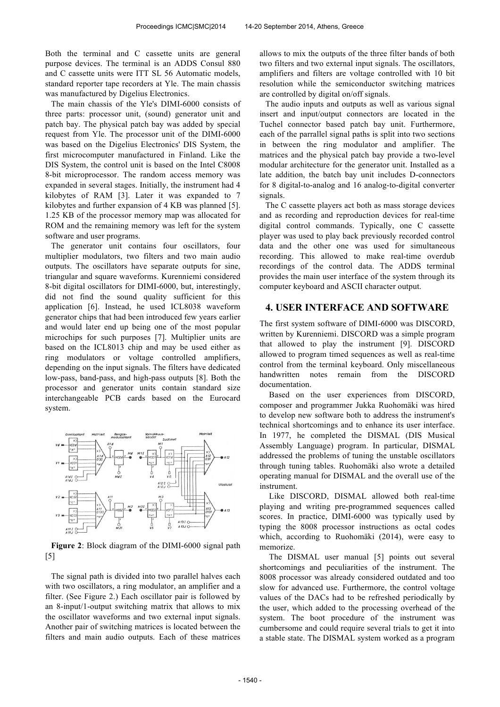Both the terminal and C cassette units are general purpose devices. The terminal is an ADDS Consul 880 and C cassette units were ITT SL 56 Automatic models, standard reporter tape recorders at Yle. The main chassis was manufactured by Digelius Electronics.

The main chassis of the Yle's DIMI-6000 consists of three parts: processor unit, (sound) generator unit and patch bay. The physical patch bay was added by special request from Yle. The processor unit of the DIMI-6000 was based on the Digelius Electronics' DIS System, the first microcomputer manufactured in Finland. Like the DIS System, the control unit is based on the Intel C8008 8-bit microprocessor. The random access memory was expanded in several stages. Initially, the instrument had 4 kilobytes of RAM [3]. Later it was expanded to 7 kilobytes and further expansion of 4 KB was planned [5]. 1.25 KB of the processor memory map was allocated for ROM and the remaining memory was left for the system software and user programs.

The generator unit contains four oscillators, four multiplier modulators, two filters and two main audio outputs. The oscillators have separate outputs for sine, triangular and square waveforms. Kurenniemi considered 8-bit digital oscillators for DIMI-6000, but, interestingly, did not find the sound quality sufficient for this application [6]. Instead, he used ICL8038 waveform generator chips that had been introduced few years earlier and would later end up being one of the most popular microchips for such purposes [7]. Multiplier units are based on the ICL8013 chip and may be used either as ring modulators or voltage controlled amplifiers, depending on the input signals. The filters have dedicated low-pass, band-pass, and high-pass outputs [8]. Both the processor and generator units contain standard size interchangeable PCB cards based on the Eurocard system.



**Figure 2**: Block diagram of the DIMI-6000 signal path [5]

The signal path is divided into two parallel halves each with two oscillators, a ring modulator, an amplifier and a filter. (See Figure 2.) Each oscillator pair is followed by an 8-input/1-output switching matrix that allows to mix the oscillator waveforms and two external input signals. Another pair of switching matrices is located between the filters and main audio outputs. Each of these matrices allows to mix the outputs of the three filter bands of both two filters and two external input signals. The oscillators, amplifiers and filters are voltage controlled with 10 bit resolution while the semiconductor switching matrices are controlled by digital on/off signals.

The audio inputs and outputs as well as various signal insert and input/output connectors are located in the Tuchel connector based patch bay unit. Furthermore, each of the parrallel signal paths is split into two sections in between the ring modulator and amplifier. The matrices and the physical patch bay provide a two-level modular architecture for the generator unit. Installed as a late addition, the batch bay unit includes D-connectors for 8 digital-to-analog and 16 analog-to-digital converter signals.

The C cassette players act both as mass storage devices and as recording and reproduction devices for real-time digital control commands. Typically, one C cassette player was used to play back previously recorded control data and the other one was used for simultaneous recording. This allowed to make real-time overdub recordings of the control data. The ADDS terminal provides the main user interface of the system through its computer keyboard and ASCII character output.

### **4. USER INTERFACE AND SOFTWARE**

The first system software of DIMI-6000 was DISCORD, written by Kurenniemi. DISCORD was a simple program that allowed to play the instrument [9]. DISCORD allowed to program timed sequences as well as real-time control from the terminal keyboard. Only miscellaneous handwritten notes remain from the DISCORD documentation.

Based on the user experiences from DISCORD, composer and programmer Jukka Ruohomäki was hired to develop new software both to address the instrument's technical shortcomings and to enhance its user interface. In 1977, he completed the DISMAL (DIS Musical Assembly Language) program. In particular, DISMAL addressed the problems of tuning the unstable oscillators through tuning tables. Ruohomäki also wrote a detailed operating manual for DISMAL and the overall use of the instrument.

Like DISCORD, DISMAL allowed both real-time playing and writing pre-programmed sequences called scores. In practice, DIMI-6000 was typically used by typing the 8008 processor instructions as octal codes which, according to Ruohomäki (2014), were easy to memorize.

The DISMAL user manual [5] points out several shortcomings and peculiarities of the instrument. The 8008 processor was already considered outdated and too slow for advanced use. Furthermore, the control voltage values of the DACs had to be refreshed periodically by the user, which added to the processing overhead of the system. The boot procedure of the instrument was cumbersome and could require several trials to get it into a stable state. The DISMAL system worked as a program